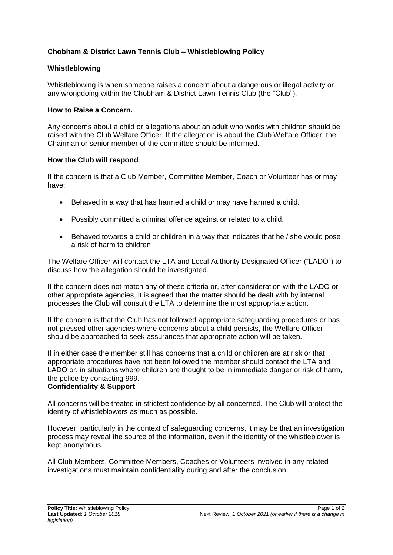# **Chobham & District Lawn Tennis Club – Whistleblowing Policy**

## **Whistleblowing**

Whistleblowing is when someone raises a concern about a dangerous or illegal activity or any wrongdoing within the Chobham & District Lawn Tennis Club (the "Club").

### **How to Raise a Concern.**

Any concerns about a child or allegations about an adult who works with children should be raised with the Club Welfare Officer. If the allegation is about the Club Welfare Officer, the Chairman or senior member of the committee should be informed.

#### **How the Club will respond**.

If the concern is that a Club Member, Committee Member, Coach or Volunteer has or may have;

- Behaved in a way that has harmed a child or may have harmed a child.
- Possibly committed a criminal offence against or related to a child.
- Behaved towards a child or children in a way that indicates that he / she would pose a risk of harm to children

The Welfare Officer will contact the LTA and Local Authority Designated Officer ("LADO") to discuss how the allegation should be investigated.

If the concern does not match any of these criteria or, after consideration with the LADO or other appropriate agencies, it is agreed that the matter should be dealt with by internal processes the Club will consult the LTA to determine the most appropriate action.

If the concern is that the Club has not followed appropriate safeguarding procedures or has not pressed other agencies where concerns about a child persists, the Welfare Officer should be approached to seek assurances that appropriate action will be taken.

If in either case the member still has concerns that a child or children are at risk or that appropriate procedures have not been followed the member should contact the LTA and LADO or, in situations where children are thought to be in immediate danger or risk of harm, the police by contacting 999.

### **Confidentiality & Support**

All concerns will be treated in strictest confidence by all concerned. The Club will protect the identity of whistleblowers as much as possible.

However, particularly in the context of safeguarding concerns, it may be that an investigation process may reveal the source of the information, even if the identity of the whistleblower is kept anonymous.

All Club Members, Committee Members, Coaches or Volunteers involved in any related investigations must maintain confidentiality during and after the conclusion.